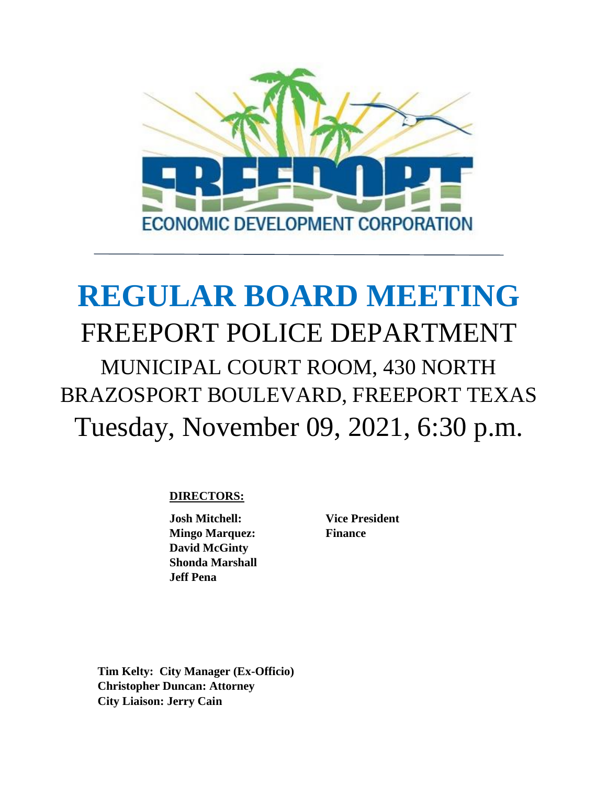

# **REGULAR BOARD MEETING** FREEPORT POLICE DEPARTMENT MUNICIPAL COURT ROOM, 430 NORTH BRAZOSPORT BOULEVARD, FREEPORT TEXAS Tuesday, November 09, 2021, 6:30 p.m.

# **DIRECTORS:**

**Josh Mitchell: Vice President Mingo Marquez:** Finance  **David McGinty Shonda Marshall Jeff Pena**

**Tim Kelty: City Manager (Ex-Officio) Christopher Duncan: Attorney City Liaison: Jerry Cain**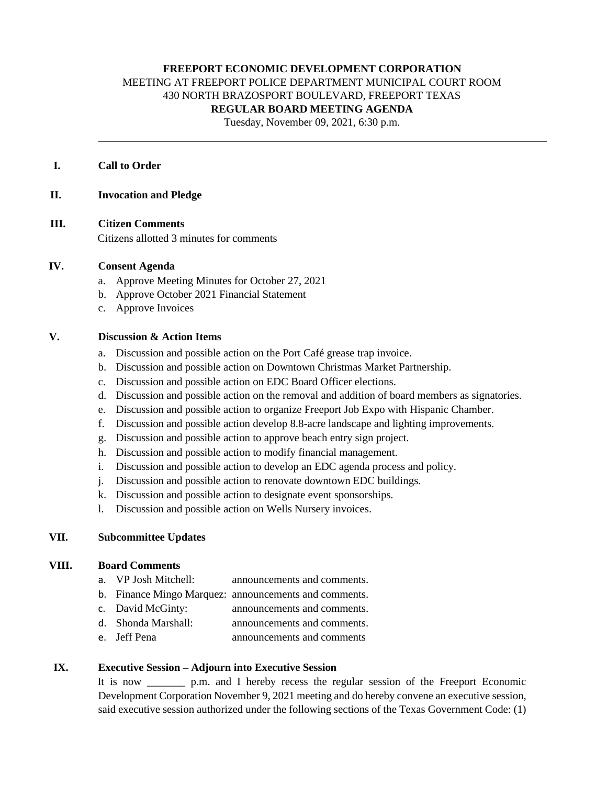# **FREEPORT ECONOMIC DEVELOPMENT CORPORATION** MEETING AT FREEPORT POLICE DEPARTMENT MUNICIPAL COURT ROOM

430 NORTH BRAZOSPORT BOULEVARD, FREEPORT TEXAS

## **REGULAR BOARD MEETING AGENDA**

Tuesday, November 09, 2021, 6:30 p.m.

### **I. Call to Order**

#### **II. Invocation and Pledge**

**III. Citizen Comments**

Citizens allotted 3 minutes for comments

#### **IV. Consent Agenda**

- a. Approve Meeting Minutes for October 27, 2021
- b. Approve October 2021 Financial Statement
- c. Approve Invoices

#### **V. Discussion & Action Items**

- a. Discussion and possible action on the Port Café grease trap invoice.
- b. Discussion and possible action on Downtown Christmas Market Partnership.
- c. Discussion and possible action on EDC Board Officer elections.
- d. Discussion and possible action on the removal and addition of board members as signatories.
- e. Discussion and possible action to organize Freeport Job Expo with Hispanic Chamber.
- f. Discussion and possible action develop 8.8-acre landscape and lighting improvements.
- g. Discussion and possible action to approve beach entry sign project.
- h. Discussion and possible action to modify financial management.
- i. Discussion and possible action to develop an EDC agenda process and policy.
- j. Discussion and possible action to renovate downtown EDC buildings.
- k. Discussion and possible action to designate event sponsorships.
- l. Discussion and possible action on Wells Nursery invoices.

#### **VII. Subcommittee Updates**

#### **VIII. Board Comments**

- a. VP Josh Mitchell: announcements and comments.
- b. Finance Mingo Marquez: announcements and comments.
- c. David McGinty: announcements and comments.
- d. Shonda Marshall: announcements and comments.
- e. Jeff Pena announcements and comments

#### **IX. Executive Session – Adjourn into Executive Session**

It is now p.m. and I hereby recess the regular session of the Freeport Economic Development Corporation November 9, 2021 meeting and do hereby convene an executive session, said executive session authorized under the following sections of the Texas Government Code: (1)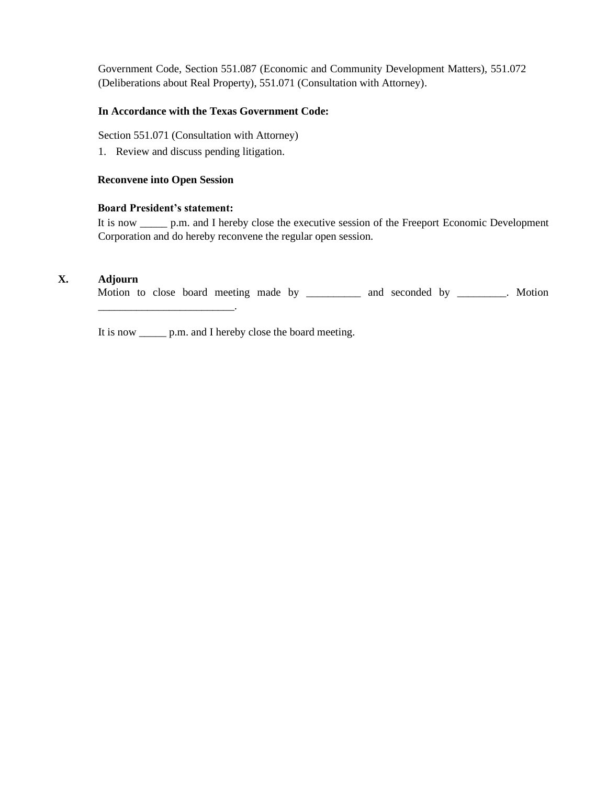Government Code, Section 551.087 (Economic and Community Development Matters), 551.072 (Deliberations about Real Property), 551.071 (Consultation with Attorney).

## **In Accordance with the Texas Government Code:**

Section 551.071 (Consultation with Attorney)

1. Review and discuss pending litigation.

## **Reconvene into Open Session**

#### **Board President's statement:**

\_\_\_\_\_\_\_\_\_\_\_\_\_\_\_\_\_\_\_\_\_\_\_\_\_.

It is now \_\_\_\_\_ p.m. and I hereby close the executive session of the Freeport Economic Development Corporation and do hereby reconvene the regular open session.

## **X. Adjourn**

Motion to close board meeting made by \_\_\_\_\_\_\_\_\_\_ and seconded by \_\_\_\_\_\_\_\_. Motion

It is now \_\_\_\_\_ p.m. and I hereby close the board meeting.